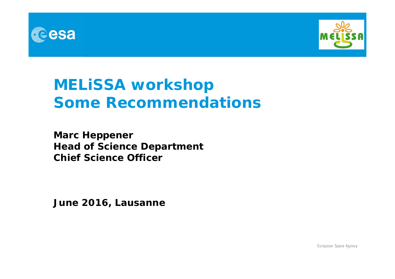



# **MELiSSA workshop Some Recommendations**

**Marc Heppener Head of Science Department Chief Science Officer**

**June 2016, Lausanne**

European Space Agency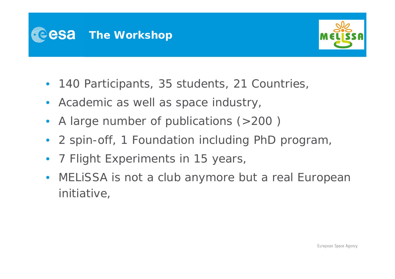



- 140 Participants, 35 students, 21 Countries,
- Academic as well as space industry,
- A large number of publications (>200 )
- 2 spin-off, 1 Foundation including PhD program,
- •7 Flight Experiments in 15 years,
- MELiSSA is not a club anymore but a real European initiative,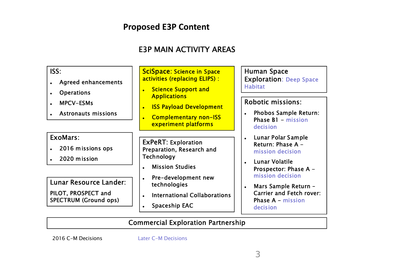### **Proposed E3P Content**

### E3P MAIN ACTIVITY AREAS



#### Commercial Exploration Partnership

2016 C-M Decisions

Later C-M Decisions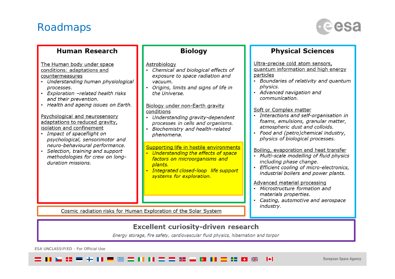## Roadmaps



| <b>Human Research</b>                                                                                                                                                                                                                                                                                                                                                                                                                                                                                                              | <b>Biology</b>                                                                                                                                                                                                                                                                                                                        | <b>Physical Sciences</b>                                                                                                                                                                                                                                                                                                                                                                                   |
|------------------------------------------------------------------------------------------------------------------------------------------------------------------------------------------------------------------------------------------------------------------------------------------------------------------------------------------------------------------------------------------------------------------------------------------------------------------------------------------------------------------------------------|---------------------------------------------------------------------------------------------------------------------------------------------------------------------------------------------------------------------------------------------------------------------------------------------------------------------------------------|------------------------------------------------------------------------------------------------------------------------------------------------------------------------------------------------------------------------------------------------------------------------------------------------------------------------------------------------------------------------------------------------------------|
| The Human body under space<br>conditions: adaptations and<br>countermeasures<br>Understanding human physiological<br>processes.<br>Exploration -related health risks<br>and their prevention.<br>Health and ageing issues on Earth.<br>Psychological and neurosensory<br>adaptations to reduced gravity,<br>isolation and confinement<br>Impact of spaceflight on<br>psychological, sensorimotor and<br>neuro-behavioural performance.<br>Selection, training and support<br>methodologies for crew on long-<br>duration missions. | Astrobiology<br>Chemical and biological effects of<br>exposure to space radiation and<br>vacuum.<br>• Origins, limits and signs of life in<br>the Universe.<br>Biology under non-Earth gravity<br>conditions<br>Understanding gravity-dependent<br>processes in cells and organisms.<br>Biochemistry and health-related<br>phenomena. | Ultra-precise cold atom sensors,<br>guantum information and high energy<br>particles<br>Boundaries of relativity and quantum<br>physics.<br>Advanced navigation and<br>communication.<br>Soft or Complex matter<br>Interactions and self-organisation in<br>foams, emulsions, granular matter,<br>atmospheric dust and colloids.<br>Food and (petro)chemical industry,<br>physics of biological processes. |
|                                                                                                                                                                                                                                                                                                                                                                                                                                                                                                                                    | Supporting life in hostile environments<br>Understanding the effects of space<br>factors on microorganisms and<br>plants.<br>Integrated closed-loop life support<br>systems for exploration.                                                                                                                                          | Boiling, evaporation and heat transfer<br>Multi-scale modelling of fluid physics<br>including phase change.<br>Efficient cooling of micro-electronics,<br>industrial boilers and power plants.<br>Advanced material processing<br>Microstructure formation and<br>materials properties.<br>Casting, automotive and aerospace                                                                               |
| Cosmic radiation risks for Human Exploration of the Solar System                                                                                                                                                                                                                                                                                                                                                                                                                                                                   | industry.                                                                                                                                                                                                                                                                                                                             |                                                                                                                                                                                                                                                                                                                                                                                                            |

#### Excellent curiosity-driven research

Energy storage, fire safety, cardiovascular fluid physics, hibernation and torpor

ESA UNCLASSIFIED - For Official Use

 $\blacktriangleright$ = = = = = + = 두 좀 좀 더 더 좀 좀 뚫 듯 **三 - 日 米**  $\bullet$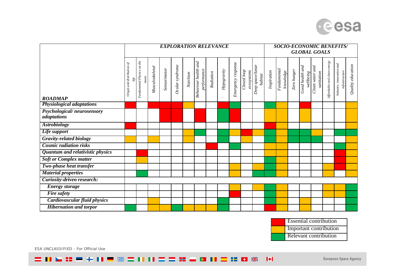

|                                           | <b>EXPLORATION RELEVANCE</b>  |                                    |                 |              |                 |           |                                               |           |             |                    | <b>SOCIO-ECONOMIC BENEFITS/</b><br><b>GLOBAL GOALS</b> |                             |             |                          |             |                              |                               |                             |                                            |                   |
|-------------------------------------------|-------------------------------|------------------------------------|-----------------|--------------|-----------------|-----------|-----------------------------------------------|-----------|-------------|--------------------|--------------------------------------------------------|-----------------------------|-------------|--------------------------|-------------|------------------------------|-------------------------------|-----------------------------|--------------------------------------------|-------------------|
| <b>ROADMAP</b>                            | $O$ rigin and distribution of | Fundamental Physics on the<br>moon | Musculoskeletal | Sensorimotor | Ocular syndrome | Nutrition | and<br><b>Behaviour</b> health<br>performance | Radiation | Hypogravity | Emergency response | $\overline{Closed}$ loop<br>ecosystems                 | Deep space/lunar<br>habitat | Inspiration | Fundamental<br>knowledge | Zero hunger | Good health and<br>wellbeing | Clean water and<br>sanitation | Affordable and clean energy | Industry, innovation and<br>infrastructure | Quality education |
| <b>Physiological adaptations</b>          |                               |                                    |                 |              |                 |           |                                               |           |             |                    |                                                        |                             |             |                          |             |                              |                               |                             |                                            |                   |
| Psychological/neurosensory<br>adaptations |                               |                                    |                 |              |                 |           |                                               |           |             |                    |                                                        |                             |             |                          |             |                              |                               |                             |                                            |                   |
| <b>Astrobiology</b>                       |                               |                                    |                 |              |                 |           |                                               |           |             |                    |                                                        |                             |             |                          |             |                              |                               |                             |                                            |                   |
| Life support                              |                               |                                    |                 |              |                 |           |                                               |           |             |                    |                                                        |                             |             |                          |             |                              |                               |                             |                                            |                   |
| <b>Gravity-related biology</b>            |                               |                                    |                 |              |                 |           |                                               |           |             |                    |                                                        |                             |             |                          |             |                              |                               |                             |                                            |                   |
| <b>Cosmic radiation risks</b>             |                               |                                    |                 |              |                 |           |                                               |           |             |                    |                                                        |                             |             |                          |             |                              |                               |                             |                                            |                   |
| Quantum and relativistic physics          |                               |                                    |                 |              |                 |           |                                               |           |             |                    |                                                        |                             |             |                          |             |                              |                               |                             |                                            |                   |
| <b>Soft or Complex matter</b>             |                               |                                    |                 |              |                 |           |                                               |           |             |                    |                                                        |                             |             |                          |             |                              |                               |                             |                                            |                   |
| Two-phase heat transfer                   |                               |                                    |                 |              |                 |           |                                               |           |             |                    |                                                        |                             |             |                          |             |                              |                               |                             |                                            |                   |
| <b>Material properties</b>                |                               |                                    |                 |              |                 |           |                                               |           |             |                    |                                                        |                             |             |                          |             |                              |                               |                             |                                            |                   |
| <b>Curiosity-driven research:</b>         |                               |                                    |                 |              |                 |           |                                               |           |             |                    |                                                        |                             |             |                          |             |                              |                               |                             |                                            |                   |
| <b>Energy storage</b>                     |                               |                                    |                 |              |                 |           |                                               |           |             |                    |                                                        |                             |             |                          |             |                              |                               |                             |                                            |                   |
| <b>Fire safety</b>                        |                               |                                    |                 |              |                 |           |                                               |           |             |                    |                                                        |                             |             |                          |             |                              |                               |                             |                                            |                   |
| Cardiovascular fluid physics              |                               |                                    |                 |              |                 |           |                                               |           |             |                    |                                                        |                             |             |                          |             |                              |                               |                             |                                            |                   |
| <b>Hibernation and torpor</b>             |                               |                                    |                 |              |                 |           |                                               |           |             |                    |                                                        |                             |             |                          |             |                              |                               |                             |                                            |                   |



ESA UNCLASSIFIED - For Official Use

= Ⅱ 2 11 ■ + Ⅱ ■ 图 = Ⅱ Ⅱ 1 = 1 器 = 图 Ⅲ = 11 B ※  $\blacktriangleright$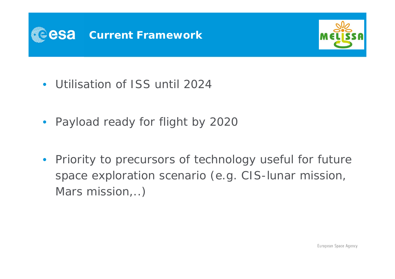



- Utilisation of ISS until 2024
- Payload ready for flight by 2020
- $\bullet$  Priority to precursors of technology useful for future space exploration scenario (e.g. CIS-lunar mission, Mars mission,..)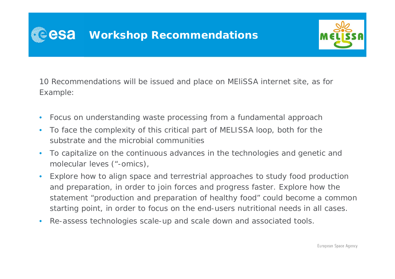

10 Recommendations will be issued and place on MEliSSA internet site, as for Example:

- •Focus on understanding waste processing from a fundamental approach
- $\bullet$  To face the complexity of this critical part of MELISSA loop, both for the substrate and the microbial communities
- $\bullet$  To capitalize on the continuous advances in the technologies and genetic and molecular leves ("-omics),
- $\bullet$  Explore how to align space and terrestrial approaches to study food production and preparation, in order to join forces and progress faster. Explore how the statement "production and preparation of healthy food" could become a common starting point, in order to focus on the end-users nutritional needs in all cases.
- $\bullet$ Re-assess technologies scale-up and scale down and associated tools.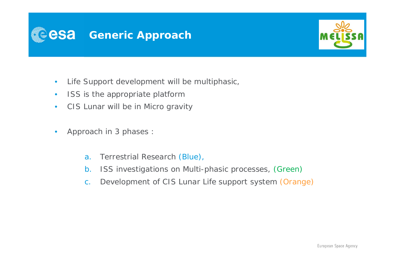



- •Life Support development will be multiphasic,
- $\bullet$ ISS is the appropriate platform
- •CIS Lunar will be in Micro gravity
- $\bullet$  Approach in 3 phases :
	- a.Terrestrial Research (Blue),
	- b.ISS investigations on Multi-phasic processes, (Green)
	- c.Development of CIS Lunar Life support system (Orange)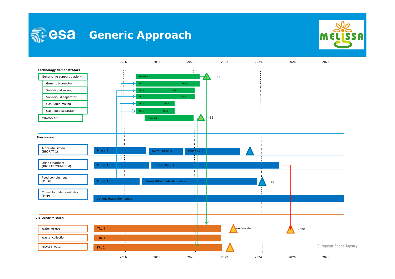



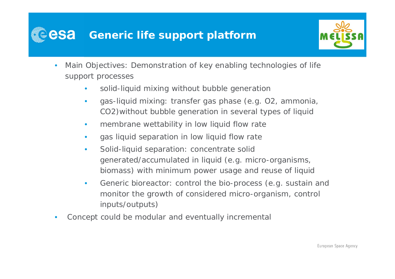# **Generic life support platform**



- • Main Objectives: Demonstration of key enabling technologies of life support processes
	- $\bullet$ solid-liquid mixing without bubble generation
	- • gas-liquid mixing: transfer gas phase (e.g. O2, ammonia, CO2)without bubble generation in several types of liquid
	- •membrane wettability in low liquid flow rate
	- $\bullet$ gas liquid separation in low liquid flow rate
	- $\bullet$  Solid-liquid separation: concentrate solid generated/accumulated in liquid (e.g. micro-organisms, biomass) with minimum power usage and reuse of liquid
	- $\bullet$  Generic bioreactor: control the bio-process (e.g. sustain and monitor the growth of considered micro-organism, control inputs/outputs)
- $\bullet$ Concept could be modular and eventually incremental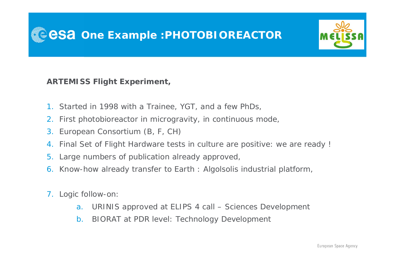

**ARTEMISS Flight Experiment,**

- 1. Started in 1998 with a Trainee, YGT, and a few PhDs,
- 2. First photobioreactor in microgravity, in continuous mode,
- 3. European Consortium (B, F, CH)
- 4. Final Set of Flight Hardware tests in culture are positive: we are ready !
- 5. Large numbers of publication already approved,
- 6. Know-how already transfer to Earth : Algolsolis industrial platform,
- 7. Logic follow-on:
	- a.URINIS approved at ELIPS 4 call – Sciences Development
	- b.BIORAT at PDR level: Technology Development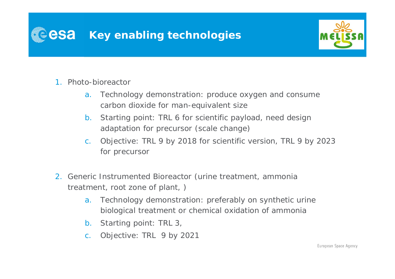



- 1. Photo-bioreactor
	- a. Technology demonstration: produce oxygen and consume carbon dioxide for man-equivalent size
	- b. Starting point: TRL 6 for scientific payload, need design adaptation for precursor (scale change)
	- c. Objective: TRL 9 by 2018 for scientific version, TRL 9 by 2023 for precursor
- 2. Generic Instrumented Bioreactor (urine treatment, ammonia treatment, root zone of plant, )
	- a. Technology demonstration: preferably on synthetic urine biological treatment or chemical oxidation of ammonia
	- b. Starting point: TRL 3,
	- c.Objective: TRL 9 by 2021

European Space Agency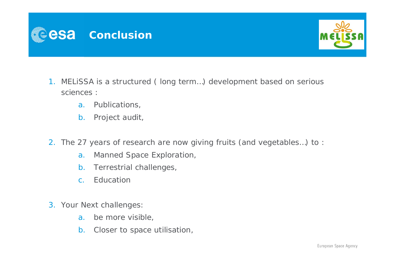



- 1. MELiSSA is a structured ( long term…) development based on serious sciences :
	- a. Publications,
	- b. Project audit,
- 2. The 27 years of research are now giving fruits (and vegetables…) to :
	- a. Manned Space Exploration,
	- b. Terrestrial challenges,
	- c. Education
- 3. Your Next challenges:
	- a.be more visible,
	- b. Closer to space utilisation,